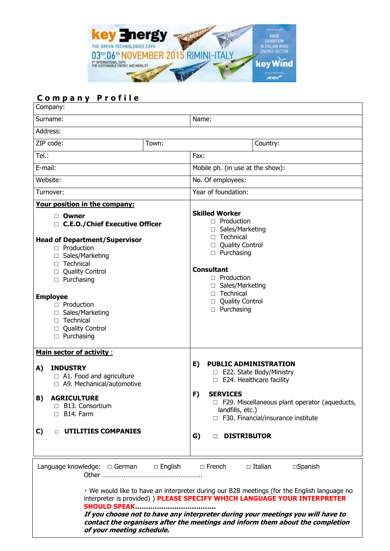

# **C o m p a n y P r o f i l e**

| Company:                                                                                                                                                                                                                                                                                                                                                                                                                                                  |       |                                                                                                                                                                                                                                                                       |  |  |  |
|-----------------------------------------------------------------------------------------------------------------------------------------------------------------------------------------------------------------------------------------------------------------------------------------------------------------------------------------------------------------------------------------------------------------------------------------------------------|-------|-----------------------------------------------------------------------------------------------------------------------------------------------------------------------------------------------------------------------------------------------------------------------|--|--|--|
| Surname:                                                                                                                                                                                                                                                                                                                                                                                                                                                  |       | Name:                                                                                                                                                                                                                                                                 |  |  |  |
| Address:                                                                                                                                                                                                                                                                                                                                                                                                                                                  |       |                                                                                                                                                                                                                                                                       |  |  |  |
| ZIP code:                                                                                                                                                                                                                                                                                                                                                                                                                                                 | Town: | Country:                                                                                                                                                                                                                                                              |  |  |  |
| Tel:                                                                                                                                                                                                                                                                                                                                                                                                                                                      |       | Fax:                                                                                                                                                                                                                                                                  |  |  |  |
| E-mail:                                                                                                                                                                                                                                                                                                                                                                                                                                                   |       | Mobile ph. (in use at the show):                                                                                                                                                                                                                                      |  |  |  |
| Website:                                                                                                                                                                                                                                                                                                                                                                                                                                                  |       | No. Of employees:                                                                                                                                                                                                                                                     |  |  |  |
| Turnover:                                                                                                                                                                                                                                                                                                                                                                                                                                                 |       | Year of foundation:                                                                                                                                                                                                                                                   |  |  |  |
| Your position in the company:                                                                                                                                                                                                                                                                                                                                                                                                                             |       |                                                                                                                                                                                                                                                                       |  |  |  |
| □ Owner<br>□ C.E.O./Chief Executive Officer<br><b>Head of Department/Supervisor</b><br>$\Box$ Production<br>Sales/Marketing<br>П<br>$\Box$ Technical<br><b>Quality Control</b><br>П<br>Purchasing<br>П.<br><b>Employee</b><br>$\Box$ Production<br>Sales/Marketing<br>Technical<br>П.<br><b>Quality Control</b><br>П.<br>$\Box$ Purchasing                                                                                                                |       | <b>Skilled Worker</b><br>$\Box$ Production<br>$\Box$ Sales/Marketing<br>$\Box$ Technical<br>□ Quality Control<br>$\Box$ Purchasing<br><b>Consultant</b><br>$\Box$ Production<br>$\Box$ Sales/Marketing<br>$\Box$ Technical<br>□ Quality Control<br>$\Box$ Purchasing  |  |  |  |
| <b>Main sector of activity:</b><br><b>INDUSTRY</b><br>A)<br>$\Box$ A1. Food and agriculture<br>□ A9. Mechanical/automotive<br>B)<br><b>AGRICULTURE</b><br>□ B13. Consortium<br>$\Box$ B14. Farm<br><b>DE UTILITIES COMPANIES</b><br>C)                                                                                                                                                                                                                    |       | <b>PUBLIC ADMINISTRATION</b><br>E)<br>□ E22. State Body/Ministry<br>$\Box$ E24. Healthcare facility<br>F)<br><b>SERVICES</b><br>$\Box$ F29. Miscellaneous plant operator (aqueducts,<br>landfills, etc.)<br>□ F30. Financial/insurance institute<br>G)<br>DISTRIBUTOR |  |  |  |
| $\Box$ French<br>$\Box$ Italian<br>$\square$ Spanish<br>• We would like to have an interpreter during our B2B meetings (for the English language no<br>interpreter is provided) ) PLEASE SPECIFY WHICH LANGUAGE YOUR INTERPRETER<br><b>SHOULD SPEAK</b><br>If you choose not to have any interpreter during your meetings you will have to<br>contact the organisers after the meetings and inform them about the completion<br>of your meeting schedule. |       |                                                                                                                                                                                                                                                                       |  |  |  |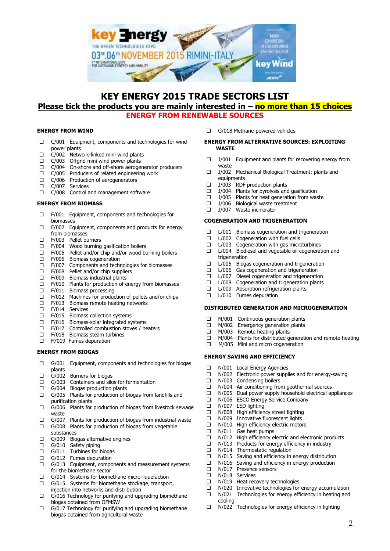

## **KEY ENERGY 2015 TRADE SECTORS LIST Please tick the products you are mainly interested in – no more than 15 choices ENERGY FROM RENEWABLE SOURCES**

## **ENERGY FROM WIND**

- $\Box$  C/001 Equipment, components and technologies for wind power plants
- $\Box$  C/002 Network-linked mini wind plants
- $\Box$  C/003 Offgrid mini wind power plants<br> $\Box$  C/004 On-shore and off-shore aeroger
- C/004 On-shore and off-shore aerogenerator producers
- $\Box$  C/005 Producers of related engineering work
- $\Box$  C/006 Production of aerogenerators
- C/007 Services
- C/008 Control and management software

## **ENERGY FROM BIOMASS**

- $\Box$  F/001 Equipment, components and technologies for biomasses
- $\Box$  F/002 Equipment, components and products for energy from biomasses
- $\Box$  F/003 Pellet burners<br> $\Box$  F/004 Wood burning
- Wood burning gasification boilers
- $\Box$  F/005 Pellet and/or chip and/or wood burning boilers
- F/006 Biomass cogeneration
- $\Box$  F/007 Components and technologies for biomasses
- $\Box$  F/008 Pellet and/or chip suppliers<br> $\Box$  F/009 Biomass industrial plants
- $\Box$  F/009 Biomass industrial plants<br> $\Box$  F/010 Plants for production of e
- $\Box$  F/010 Plants for production of energy from biomasses  $\Box$  F/011 Biomass processing
- F/011 Biomass processing
- 
- $\Box$  F/012 Machines for production of pellets and/or chips  $\Box$  F/013 Biomass remote heating networks F/013 Biomass remote heating networks
- □ F/014 Services
- □ F/015 Biomass collection systems
- F/016 Biomass-solar integrated systems
- 
- $\Box$  F/017 Controlled combustion stoves / heaters  $\Box$  F/018 Biomass steam turbines F/018 Biomass steam turbines
- □ F7019 Fumes depuration

#### **ENERGY FROM BIOGAS**

- $\Box$  G/001 Equipment, components and technologies for biogas plants
- $\Box$  G/002 Burners for biogas<br> $\Box$  G/003 Containers and silc
- Containers and silos for fermentation
- G/004 Biogas production plants
- $\Box$  G/005 Plants for production of biogas from landfills and purification plants
- $\Box$  G/006 Plants for production of biogas from livestock sewage waste
- $\Box$  G/007 Plants for production of biogas from industrial waste  $\Box$  G/008 Plants for production of biogas from vegetable
- G/008 Plants for production of biogas from vegetable substances
- $\Box$  G/009 Biogas alternative engines
- G/010 Safety piping
- $\Box$  G/011 Turbines for biogas<br> $\Box$  G/012 Fumes depuration
- G/012 Fumes depuration
- $\Box$  G/013 Equipment, components and measurement systems for the biomethane sector
- $\Box$  G/014 Systems for biomethane micro-liquefaction  $\Box$  G/015 Systems for biomethane stockage transport
- G/015 Systems for biomethane stockage, transport, injection into networks and distribution
- $\Box$  G/016 Technology for purifying and upgrading biomethane biogas obtained from OFMSW
- $\Box$  G/017 Technology for purifying and upgrading biomethane biogas obtained from agricultural waste

G/018 Methane-powered vehicles

## **ENERGY FROM ALTERNATIVE SOURCES: EXPLOITING WASTE**

- $\Box$  J/001 Equipment and plants for recovering energy from waste
- □ J/002 Mechanical-Biological Treatment: plants and equipments
- $\Box$  J/003 RDF production plants
- $\Box$  J/004 Plants for pyrolysis and gasification
- $\Box$  J/005 Plants for heat generation from waste  $\Box$  J/006 Biological waste treatment
- $\Box$  J/006 Biological waste treatment<br> $\Box$  1/007 Waste incinerator
- J/007 Waste incinerator

## **COGENERATION AND TRIGENERATION**

- $\Box$  L/001 Biomass cogeneration and trigeneration
- □ L/002 Cogeneration with fuel cells
- $\Box$  L/003 Cogeneration with gas microturbines
- □ L/004 Biodiesel and vegetable oil cogeneration and trigeneration
- $\Box$  L/005 Biogas cogeneration and trigeneration  $\Box$  L/006 Gas cogeneration and trigeneration
- $\Box$  L/006 Gas cogeneration and trigeneration  $\Box$  L/007 Diesel cogeneration and trigeneration
- $\Box$  L/007 Diesel cogeneration and trigeneration  $\Box$  L/008 Cogeneration and trigeneration plants
- $\Box$  L/008 Cogeneration and trigeneration plants  $\Box$  L/009 Absorption refrigeration plants
- L/009 Absorption refrigeration plants
- $\Box$  L/010 Fumes depuration

#### **DISTRIBUTED GENERATION AND MICROGENERATION**

- 
- $\Box$  M/001 Continuous generation plants  $\Box$  M/002 Emergency generation plants M/002 Emergency generation plants
- □ M/003 Remote heating plants
- $\Box$  M/004 Plants for distributed generation and remote heating  $\Box$  M/005 Mini and micro cogeneration
- M/005 Mini and micro cogeneration

## **ENERGY SAVING AND EFFICIENCY**

- □ N/001 Local Energy Agencies
- $\Box$  N/002 Electronic power supplies and for energy-saving
- □ N/003 Condensing boilers
- 
- $\Box$  N/004 Air conditioning from geothermal sources  $\Box$  N/005 Dual power supply household electrical are  $\Box$  N/005 Dual power supply household electrical appliances<br> $\Box$  N/006 ESCO Energy Service Company
	- N/006 ESCO Energy Service Company
- 
- $\Box$  N/007 LED lighting<br> $\Box$  N/008 High efficien
- $\Box$  N/008 High efficiency street lighting<br> $\Box$  N/009 Innovative fluorescent lights N/009 Innovative fluorescent lights
- $\Box$  N/010 High efficiency electric motors
- □ N/011 Gas heat pumps
- $\Box$  N/012 High efficiency electric and electronic products
- $\Box$  N/013 Products for energy efficiency in industry  $\Box$  N/014 Thermostatic requlation
	- N/014 Thermostatic regulation
	-
- $\Box$  N/015 Saving and efficiency in energy distribution  $\Box$  N/016 Saving and efficiency in energy production  $\Box$  N/016 Saving and efficiency in energy production  $\Box$  N/017 Presence sensors
- $\Box$  N/017 Presence sensors<br> $\Box$  N/018 Services
- N/018 Services
- $\Box$  N/019 Heat recovery technologies
- $\Box$  N/020 Innovative technologies for energy accumulation
- $\Box$  N/021 Technologies for energy efficiency in heating and cooling
- $\Box$  N/022 Technologies for energy efficiency in lighting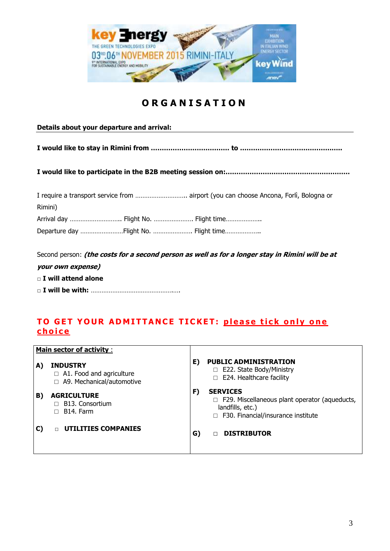

# **O R G A N I S A T I O N**

**Details about your departure and arrival:**

**I would like to stay in Rimini from ……………………………… to ………………………………………..**

**I would like to participate in the B2B meeting session on:…………………………………………………**

|                                       | I require a transport service from  airport (you can choose Ancona, Forlì, Bologna or |
|---------------------------------------|---------------------------------------------------------------------------------------|
| Rimini)                               |                                                                                       |
| Arrival day  Flight No.  Flight time  |                                                                                       |
| Departure day Flight No.  Flight time |                                                                                       |

Second person: **(the costs for a second person as well as for a longer stay in Rimini will be at your own expense)**

□ **I will attend alone**

□ **I will be with:** ……………………………………….….

# **TO GET YOUR ADMITTANCE TICKET: please tick only one c h o i c e**

|    | <b>Main sector of activity:</b>                                                       |    |                                                                                                                                          |
|----|---------------------------------------------------------------------------------------|----|------------------------------------------------------------------------------------------------------------------------------------------|
| A) | <b>INDUSTRY</b><br>$\Box$ A1. Food and agriculture<br>A9. Mechanical/automotive<br>П. | E) | <b>PUBLIC ADMINISTRATION</b><br>$\Box$ E22. State Body/Ministry<br>$\Box$ E24. Healthcare facility                                       |
| B) | <b>AGRICULTURE</b><br><b>B13. Consortium</b><br>B <sub>14</sub> . Farm                | F) | <b>SERVICES</b><br>$\Box$ F29. Miscellaneous plant operator (aqueducts,<br>landfills, etc.)<br>$\Box$ F30. Financial/insurance institute |
|    | <b>UTILITIES COMPANIES</b>                                                            | G) | <b>DISTRIBUTOR</b>                                                                                                                       |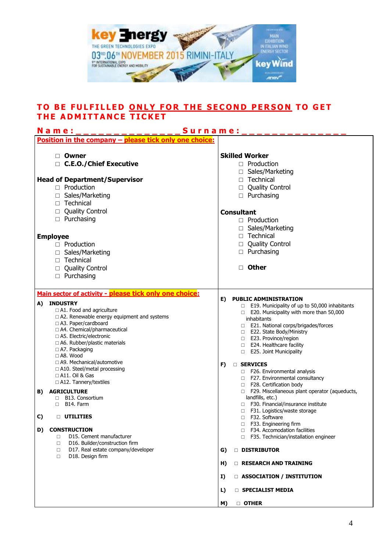

## TO BE FULFILLED <u>ONLY FOR THE SECOND PERSON</u> TO GET **T H E A D M I T T A N C E T I C K E T**

| Surname:<br>N a m e :                                                 |                                                                                |
|-----------------------------------------------------------------------|--------------------------------------------------------------------------------|
| Position in the company - please tick only one choice:                |                                                                                |
| □ Owner                                                               | <b>Skilled Worker</b>                                                          |
| □ C.E.O./Chief Executive                                              | $\Box$ Production                                                              |
|                                                                       |                                                                                |
|                                                                       | □ Sales/Marketing                                                              |
| <b>Head of Department/Supervisor</b>                                  | $\Box$ Technical                                                               |
| $\Box$ Production                                                     | <b>Quality Control</b><br>$\Box$                                               |
| □ Sales/Marketing                                                     | $\Box$ Purchasing                                                              |
| □ Technical                                                           |                                                                                |
| <b>Quality Control</b><br>$\Box$                                      | <b>Consultant</b>                                                              |
| $\Box$ Purchasing                                                     | $\Box$ Production                                                              |
|                                                                       | □ Sales/Marketing                                                              |
|                                                                       | $\Box$ Technical                                                               |
| <b>Employee</b>                                                       |                                                                                |
| $\Box$ Production                                                     | □ Quality Control                                                              |
| □ Sales/Marketing                                                     | $\Box$ Purchasing                                                              |
| $\Box$ Technical                                                      |                                                                                |
| □ Quality Control                                                     | <b>Other</b><br>П.                                                             |
| $\Box$ Purchasing                                                     |                                                                                |
|                                                                       |                                                                                |
| Main sector of activity - please tick only one choice:                |                                                                                |
|                                                                       | E)<br><b>PUBLIC ADMINISTRATION</b>                                             |
| <b>INDUSTRY</b><br>A)                                                 | $\Box$ E19. Municipality of up to 50,000 inhabitants                           |
| □ A1. Food and agriculture                                            | E20. Municipality with more than 50,000                                        |
| □ A2. Renewable energy equipment and systems<br>□ A3. Paper/cardboard | inhabitants                                                                    |
| □ A4. Chemical/pharmaceutical                                         | □ E21. National corps/brigades/forces                                          |
| □ A5. Electric/electronic                                             | □ E22. State Body/Ministry                                                     |
| $\Box$ A6. Rubber/plastic materials                                   | □ E23. Province/region<br>E24. Healthcare facility<br>$\Box$                   |
| □ A7. Packaging                                                       | E25. Joint Municipality<br>$\Box$                                              |
| $\Box$ A8. Wood                                                       |                                                                                |
| □ A9. Mechanical/automotive                                           | F)<br><b>SERVICES</b><br>$\Box$                                                |
| □ A10. Steel/metal processing                                         | □ F26. Environmental analysis                                                  |
| □ A11. Oil & Gas                                                      | □ F27. Environmental consultancy                                               |
| □ A12. Tannery/textiles                                               | F28. Certification body<br>$\Box$                                              |
| <b>AGRICULTURE</b><br>B)                                              | □ F29. Miscellaneous plant operator (aqueducts,                                |
| <b>B13. Consortium</b><br>□                                           | landfills, etc.)                                                               |
| B14. Farm<br>$\Box$                                                   | □ F30. Financial/insurance institute<br>F31. Logistics/waste storage<br>$\Box$ |
| C)<br><b>UTILITIES</b><br>$\Box$                                      | □ F32. Software                                                                |
|                                                                       | F33. Engineering firm<br>□                                                     |
| <b>CONSTRUCTION</b><br>D)                                             | F34. Accomodation facilities<br>п                                              |
| D15. Cement manufacturer<br>0                                         | F35. Technician/installation engineer<br>П.                                    |
| D16. Builder/construction firm<br>□                                   |                                                                                |
| D17. Real estate company/developer<br>□                               | DISTRIBUTOR<br>G)                                                              |
| D18. Design firm<br>◻                                                 |                                                                                |
|                                                                       | H)<br><b>E RESEARCH AND TRAINING</b>                                           |
|                                                                       | <b>E ASSOCIATION / INSTITUTION</b><br>I)                                       |
|                                                                       |                                                                                |
|                                                                       | L)<br><b>SPECIALIST MEDIA</b>                                                  |
|                                                                       | <b>D</b> OTHER<br>M)                                                           |